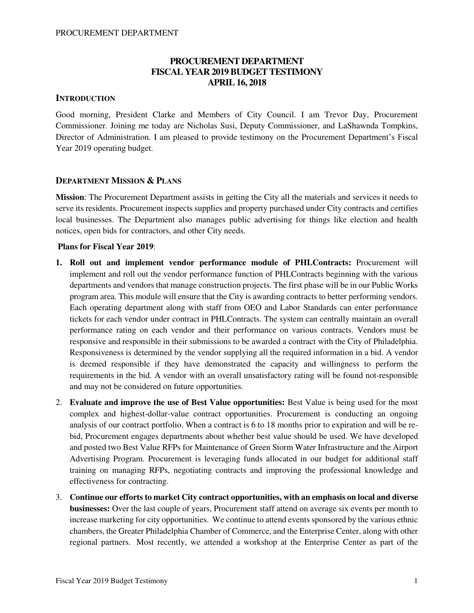# **PROCUREMENT DEPARTMENT FISCAL YEAR 2019 BUDGET TESTIMONY APRIL 16, 2018**

# **INTRODUCTION**

Good morning, President Clarke and Members of City Council. I am Trevor Day, Procurement Commissioner. Joining me today are Nicholas Susi, Deputy Commissioner, and LaShawnda Tompkins, Director of Administration. I am pleased to provide testimony on the Procurement Department's Fiscal Year 2019 operating budget.

# **DEPARTMENT MISSION & PLANS**

**Mission**: The Procurement Department assists in getting the City all the materials and services it needs to serve its residents. Procurement inspects supplies and property purchased under City contracts and certifies local businesses. The Department also manages public advertising for things like election and health notices, open bids for contractors, and other City needs.

# **Plans for Fiscal Year 2019**:

- **1. Roll out and implement vendor performance module of PHLContracts:** Procurement will implement and roll out the vendor performance function of PHLContracts beginning with the various departments and vendors that manage construction projects. The first phase will be in our Public Works program area. This module will ensure that the City is awarding contracts to better performing vendors. Each operating department along with staff from OEO and Labor Standards can enter performance tickets for each vendor under contract in PHLContracts. The system can centrally maintain an overall performance rating on each vendor and their performance on various contracts. Vendors must be responsive and responsible in their submissions to be awarded a contract with the City of Philadelphia. Responsiveness is determined by the vendor supplying all the required information in a bid. A vendor is deemed responsible if they have demonstrated the capacity and willingness to perform the requirements in the bid. A vendor with an overall unsatisfactory rating will be found not-responsible and may not be considered on future opportunities.
- 2. **Evaluate and improve the use of Best Value opportunities:** Best Value is being used for the most complex and highest-dollar-value contract opportunities. Procurement is conducting an ongoing analysis of our contract portfolio. When a contract is 6 to 18 months prior to expiration and will be rebid, Procurement engages departments about whether best value should be used. We have developed and posted two Best Value RFPs for Maintenance of Green Storm Water Infrastructure and the Airport Advertising Program. Procurement is leveraging funds allocated in our budget for additional staff training on managing RFPs, negotiating contracts and improving the professional knowledge and effectiveness for contracting.
- 3. **Continue our efforts to market City contract opportunities, with an emphasis on local and diverse businesses:** Over the last couple of years, Procurement staff attend on average six events per month to increase marketing for city opportunities. We continue to attend events sponsored by the various ethnic chambers, the Greater Philadelphia Chamber of Commerce, and the Enterprise Center, along with other regional partners. Most recently, we attended a workshop at the Enterprise Center as part of the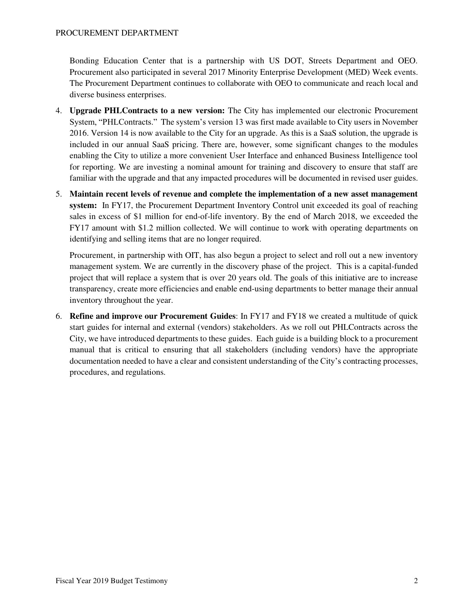Bonding Education Center that is a partnership with US DOT, Streets Department and OEO. Procurement also participated in several 2017 Minority Enterprise Development (MED) Week events. The Procurement Department continues to collaborate with OEO to communicate and reach local and diverse business enterprises.

- 4. **Upgrade PHLContracts to a new version:** The City has implemented our electronic Procurement System, "PHLContracts." The system's version 13 was first made available to City users in November 2016. Version 14 is now available to the City for an upgrade. As this is a SaaS solution, the upgrade is included in our annual SaaS pricing. There are, however, some significant changes to the modules enabling the City to utilize a more convenient User Interface and enhanced Business Intelligence tool for reporting. We are investing a nominal amount for training and discovery to ensure that staff are familiar with the upgrade and that any impacted procedures will be documented in revised user guides.
- 5. **Maintain recent levels of revenue and complete the implementation of a new asset management system:** In FY17, the Procurement Department Inventory Control unit exceeded its goal of reaching sales in excess of \$1 million for end-of-life inventory. By the end of March 2018, we exceeded the FY17 amount with \$1.2 million collected. We will continue to work with operating departments on identifying and selling items that are no longer required.

Procurement, in partnership with OIT, has also begun a project to select and roll out a new inventory management system. We are currently in the discovery phase of the project. This is a capital-funded project that will replace a system that is over 20 years old. The goals of this initiative are to increase transparency, create more efficiencies and enable end-using departments to better manage their annual inventory throughout the year.

6. **Refine and improve our Procurement Guides**: In FY17 and FY18 we created a multitude of quick start guides for internal and external (vendors) stakeholders. As we roll out PHLContracts across the City, we have introduced departments to these guides. Each guide is a building block to a procurement manual that is critical to ensuring that all stakeholders (including vendors) have the appropriate documentation needed to have a clear and consistent understanding of the City's contracting processes, procedures, and regulations.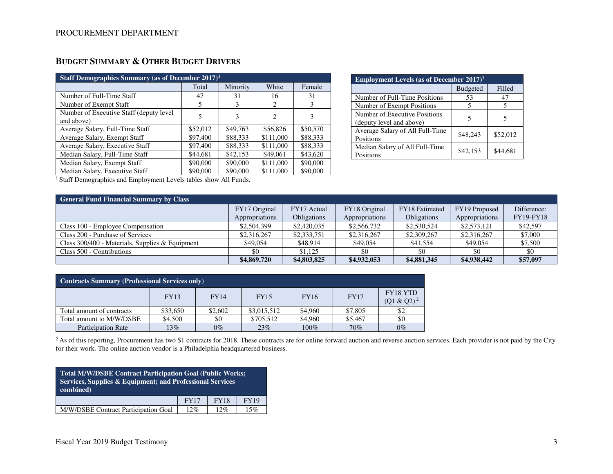| Staff Demographics Summary (as of December $2017$ ) <sup>1</sup> |          |          |                             |          |  |  |  |
|------------------------------------------------------------------|----------|----------|-----------------------------|----------|--|--|--|
|                                                                  | Total    | Minority | White                       | Female   |  |  |  |
| Number of Full-Time Staff                                        | 47       | 31       | 16                          | 31       |  |  |  |
| Number of Exempt Staff                                           | 5        | 3        | $\mathcal{D}_{\mathcal{L}}$ | 3        |  |  |  |
| Number of Executive Staff (deputy level)<br>and above)           |          | 3        | 2                           | 3        |  |  |  |
| Average Salary, Full-Time Staff                                  | \$52,012 | \$49,763 | \$56,826                    | \$50,570 |  |  |  |
| Average Salary, Exempt Staff                                     | \$97,400 | \$88,333 | \$111,000                   | \$88,333 |  |  |  |
| Average Salary, Executive Staff                                  | \$97,400 | \$88,333 | \$111,000                   | \$88,333 |  |  |  |
| Median Salary, Full-Time Staff                                   | \$44,681 | \$42,153 | \$49,061                    | \$43,620 |  |  |  |
| Median Salary, Exempt Staff                                      | \$90,000 | \$90,000 | \$111,000                   | \$90,000 |  |  |  |
| Median Salary, Executive Staff                                   | \$90,000 | \$90,000 | \$111,000                   | \$90,000 |  |  |  |

# **BUDGET SUMMARY & OTHER BUDGET DRIVERS**

| <b>Employment Levels (as of December 2017)</b> <sup>1</sup> |                 |          |  |  |  |  |  |
|-------------------------------------------------------------|-----------------|----------|--|--|--|--|--|
|                                                             | <b>Budgeted</b> | Filled   |  |  |  |  |  |
| Number of Full-Time Positions                               | 53              | 47       |  |  |  |  |  |
| Number of Exempt Positions                                  |                 |          |  |  |  |  |  |
| Number of Executive Positions<br>(deputy level and above)   |                 |          |  |  |  |  |  |
| Average Salary of All Full-Time<br>Positions                | \$48,243        | \$52,012 |  |  |  |  |  |
| Median Salary of All Full-Time<br>Positions                 | \$42,153        | \$44.681 |  |  |  |  |  |

<sup>1</sup> Staff Demographics and Employment Levels tables show All Funds.

| <b>General Fund Financial Summary by Class</b>    |                                 |                            |                                 |                                      |                                 |                                 |  |
|---------------------------------------------------|---------------------------------|----------------------------|---------------------------------|--------------------------------------|---------------------------------|---------------------------------|--|
|                                                   | FY17 Original<br>Appropriations | FY17 Actual<br>Obligations | FY18 Original<br>Appropriations | FY18 Estimated<br><b>Obligations</b> | FY19 Proposed<br>Appropriations | Difference:<br><b>FY19-FY18</b> |  |
| Class 100 - Employee Compensation                 | \$2,504,399                     | \$2,420,035                | \$2,566,732                     | \$2,530,524                          | \$2,573,121                     | \$42,597                        |  |
| Class 200 - Purchase of Services                  | \$2,316,267                     | \$2,333,751                | \$2,316,267                     | \$2,309,267                          | \$2,316,267                     | \$7,000                         |  |
| Class $300/400$ - Materials, Supplies & Equipment | \$49,054                        | \$48.914                   | \$49,054                        | \$41,554                             | \$49,054                        | \$7,500                         |  |
| Class 500 - Contributions                         | \$0                             | \$1.125                    | \$0                             | \$0                                  | \$0                             | \$0                             |  |
|                                                   | \$4,869,720                     | \$4,803,825                | \$4,932,053                     | \$4,881,345                          | \$4,938,442                     | \$57,097                        |  |

| <b>Contracts Summary (Professional Services only)</b>                                                |          |         |             |         |         |       |  |  |
|------------------------------------------------------------------------------------------------------|----------|---------|-------------|---------|---------|-------|--|--|
| FY18 YTD<br><b>FY16</b><br><b>FY17</b><br><b>FY14</b><br><b>FY15</b><br><b>FY13</b><br>$(Q1 & Q2)^2$ |          |         |             |         |         |       |  |  |
| Total amount of contracts                                                                            | \$33,650 | \$2,602 | \$3,015,512 | \$4,960 | \$7,805 | \$2   |  |  |
| Total amount to M/W/DSBE                                                                             | \$4,500  | \$0     | \$705.512   | \$4,960 | \$5,467 | \$0   |  |  |
| <b>Participation Rate</b>                                                                            | $13\%$   | $0\%$   | 23%         | 100%    | 70%     | $0\%$ |  |  |

<sup>2</sup> As of this reporting, Procurement has two \$1 contracts for 2018. These contracts are for online forward auction and reverse auction services. Each provider is not paid by the City for their work. The online auction vendor is a Philadelphia headquartered business.

| Total M/W/DSBE Contract Participation Goal (Public Works;<br>Services, Supplies & Equipment; and Professional Services<br>combined) |  |  |  |  |  |  |
|-------------------------------------------------------------------------------------------------------------------------------------|--|--|--|--|--|--|
| <b>FY18</b><br><b>FY19</b><br><b>FY17</b>                                                                                           |  |  |  |  |  |  |
| M/W/DSBE Contract Participation Goal<br>12%<br>12%<br>15%                                                                           |  |  |  |  |  |  |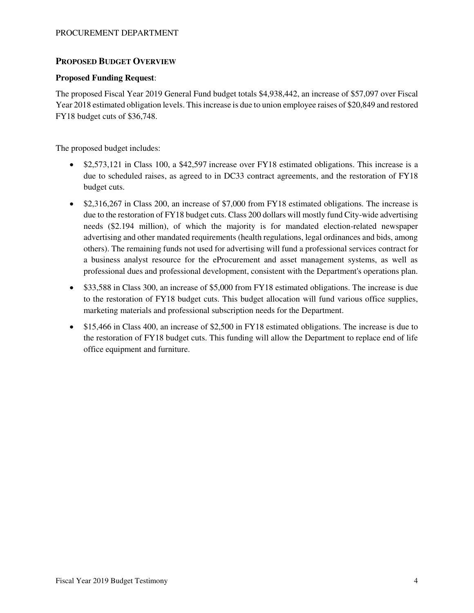# **PROPOSED BUDGET OVERVIEW**

## **Proposed Funding Request**:

The proposed Fiscal Year 2019 General Fund budget totals \$4,938,442, an increase of \$57,097 over Fiscal Year 2018 estimated obligation levels. This increase is due to union employee raises of \$20,849 and restored FY18 budget cuts of \$36,748.

The proposed budget includes:

- \$2,573,121 in Class 100, a \$42,597 increase over FY18 estimated obligations. This increase is a due to scheduled raises, as agreed to in DC33 contract agreements, and the restoration of FY18 budget cuts.
- \$2,316,267 in Class 200, an increase of \$7,000 from FY18 estimated obligations. The increase is due to the restoration of FY18 budget cuts. Class 200 dollars will mostly fund City-wide advertising needs (\$2.194 million), of which the majority is for mandated election-related newspaper advertising and other mandated requirements (health regulations, legal ordinances and bids, among others). The remaining funds not used for advertising will fund a professional services contract for a business analyst resource for the eProcurement and asset management systems, as well as professional dues and professional development, consistent with the Department's operations plan.
- \$33,588 in Class 300, an increase of \$5,000 from FY18 estimated obligations. The increase is due to the restoration of FY18 budget cuts. This budget allocation will fund various office supplies, marketing materials and professional subscription needs for the Department.
- \$15,466 in Class 400, an increase of \$2,500 in FY18 estimated obligations. The increase is due to the restoration of FY18 budget cuts. This funding will allow the Department to replace end of life office equipment and furniture.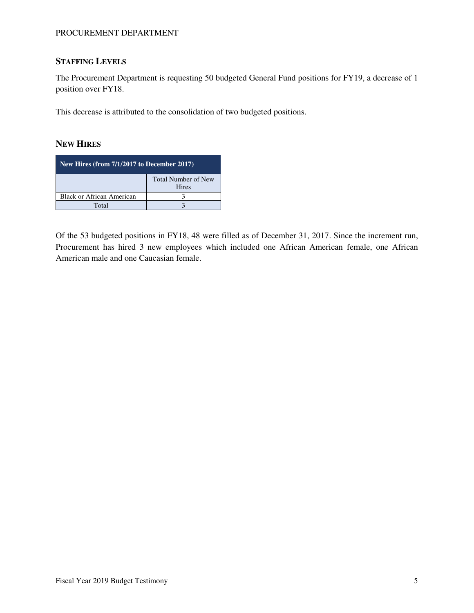# **STAFFING LEVELS**

The Procurement Department is requesting 50 budgeted General Fund positions for FY19, a decrease of 1 position over FY18.

This decrease is attributed to the consolidation of two budgeted positions.

## **NEW HIRES**

| New Hires (from $7/1/2\overline{017}$ to December 2017) |  |  |  |  |
|---------------------------------------------------------|--|--|--|--|
| <b>Total Number of New</b><br><b>Hires</b>              |  |  |  |  |
| <b>Black or African American</b>                        |  |  |  |  |
| Total                                                   |  |  |  |  |

Of the 53 budgeted positions in FY18, 48 were filled as of December 31, 2017. Since the increment run, Procurement has hired 3 new employees which included one African American female, one African American male and one Caucasian female.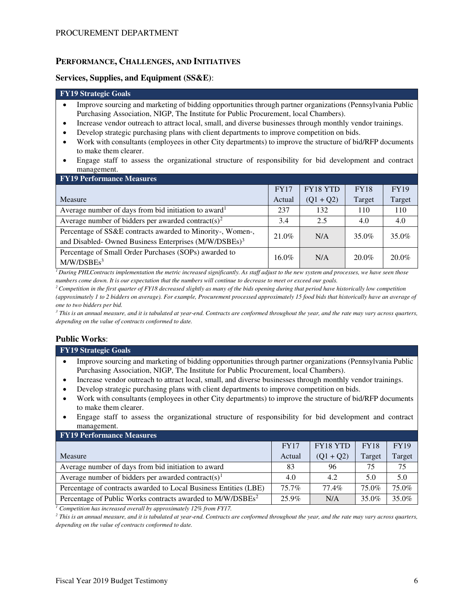# **PERFORMANCE, CHALLENGES, AND INITIATIVES**

#### **Services, Supplies, and Equipment (SS&E)**:

# **FY19 Strategic Goals**

- Improve sourcing and marketing of bidding opportunities through partner organizations (Pennsylvania Public Purchasing Association, NIGP, The Institute for Public Procurement, local Chambers).
- Increase vendor outreach to attract local, small, and diverse businesses through monthly vendor trainings.
- Develop strategic purchasing plans with client departments to improve competition on bids.
- Work with consultants (employees in other City departments) to improve the structure of bid/RFP documents to make them clearer.
- Engage staff to assess the organizational structure of responsibility for bid development and contract management.

| <b>FY19 Performance Measures</b>                                                                                                |             |             |             |             |
|---------------------------------------------------------------------------------------------------------------------------------|-------------|-------------|-------------|-------------|
|                                                                                                                                 | <b>FY17</b> | FY18 YTD    | <b>FY18</b> | <b>FY19</b> |
| Measure                                                                                                                         | Actual      | $(Q1 + Q2)$ | Target      | Target      |
| Average number of days from bid initiation to award <sup>1</sup>                                                                | 237         | 132         | 110         | 110         |
| Average number of bidders per awarded contract(s) <sup>2</sup>                                                                  | 3.4         | 2.5         | 4.0         | 4.0         |
| Percentage of SS&E contracts awarded to Minority-, Women-,<br>and Disabled- Owned Business Enterprises (M/W/DSBEs) <sup>3</sup> | 21.0%       | N/A         | 35.0%       | 35.0%       |
| Percentage of Small Order Purchases (SOPs) awarded to<br>M/W/DSBEs <sup>3</sup>                                                 | $16.0\%$    | N/A         | 20.0%       | $20.0\%$    |

*<sup>1</sup>During PHLContracts implementation the metric increased significantly. As staff adjust to the new system and processes, we have seen those numbers come down. It is our expectation that the numbers will continue to decrease to meet or exceed our goals.* 

*<sup>2</sup>Competition in the first quarter of FY18 decreased slightly as many of the bids opening during that period have historically low competition (approximately 1 to 2 bidders on average). For example, Procurement processed approximately 15 food bids that historically have an average of one to two bidders per bid.*

<sup>3</sup> This is an annual measure, and it is tabulated at year-end. Contracts are conformed throughout the year, and the rate may vary across quarters, *depending on the value of contracts conformed to date.*

# **Public Works**:

| <b>FY19 Strategic Goals</b>                                                                                                                                                                                                   |
|-------------------------------------------------------------------------------------------------------------------------------------------------------------------------------------------------------------------------------|
| Improve sourcing and marketing of bidding opportunities through partner organizations (Pennsylvania Public                                                                                                                    |
| Purchasing Association, NIGP, The Institute for Public Procurement, local Chambers).                                                                                                                                          |
| result of the property of the office of contrast the contrast of the contrast of the contrast of the contrast of the contrast of the contrast of the contrast of the contrast of the contrast of the contrast of the contrast |

- Increase vendor outreach to attract local, small, and diverse businesses through monthly vendor trainings.
- Develop strategic purchasing plans with client departments to improve competition on bids.
- Work with consultants (employees in other City departments) to improve the structure of bid/RFP documents to make them clearer.
- Engage staff to assess the organizational structure of responsibility for bid development and contract management.

| <b>FY19 Performance Measures</b>                                       |             |             |             |             |
|------------------------------------------------------------------------|-------------|-------------|-------------|-------------|
|                                                                        | <b>FY17</b> | FY18 YTD    | <b>FY18</b> | <b>FY19</b> |
| Measure                                                                | Actual      | $(Q1 + Q2)$ | Target      | Target      |
| Average number of days from bid initiation to award                    | 83          | 96          | 75          | 75          |
| Average number of bidders per awarded contract(s) <sup>1</sup>         | 4.0         | 4.2         | 5.0         | 5.0         |
| Percentage of contracts awarded to Local Business Entities (LBE)       | $75.7\%$    | 77.4%       | 75.0%       | 75.0%       |
| Percentage of Public Works contracts awarded to M/W/DSBEs <sup>2</sup> | 25.9%       | N/A         | 35.0%       | 35.0%       |

*1 Competition has increased overall by approximately 12% from FY17.*

<sup>2</sup> This is an annual measure, and it is tabulated at year-end. Contracts are conformed throughout the year, and the rate may vary across quarters, *depending on the value of contracts conformed to date.*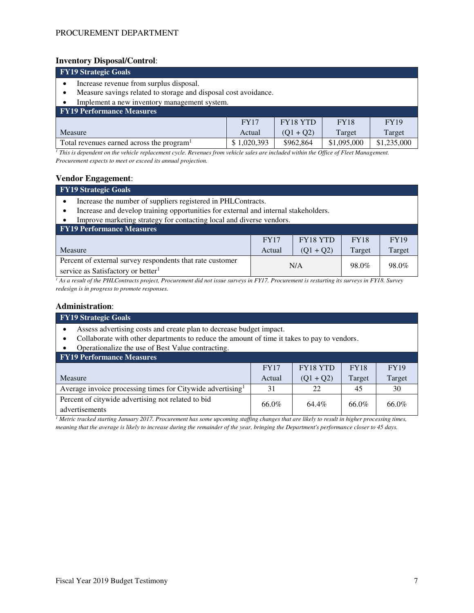## **Inventory Disposal/Control**:

| <b>FY19 Strategic Goals</b>                                                                                                                                                                                                                                                           |             |                 |             |             |  |  |
|---------------------------------------------------------------------------------------------------------------------------------------------------------------------------------------------------------------------------------------------------------------------------------------|-------------|-----------------|-------------|-------------|--|--|
| Increase revenue from surplus disposal.                                                                                                                                                                                                                                               |             |                 |             |             |  |  |
| Measure savings related to storage and disposal cost avoidance.                                                                                                                                                                                                                       |             |                 |             |             |  |  |
| Implement a new inventory management system.                                                                                                                                                                                                                                          |             |                 |             |             |  |  |
| <b>FY19 Performance Measures</b>                                                                                                                                                                                                                                                      |             |                 |             |             |  |  |
|                                                                                                                                                                                                                                                                                       | <b>FY17</b> | <b>FY18 YTD</b> | <b>FY18</b> | <b>FY19</b> |  |  |
| Target<br>Measure<br>Target<br>$(Q1 + Q2)$<br>Actual                                                                                                                                                                                                                                  |             |                 |             |             |  |  |
| Total revenues earned across the program <sup>1</sup>                                                                                                                                                                                                                                 | \$1,020,393 | \$962,864       | \$1,095,000 | \$1,235,000 |  |  |
| $TL: \ldots$ , $L: \ldots$ , $L: \ldots$ , $L: \ldots$ , $L: \ldots$ , $L: \mathbf{D}: \ldots \ldots$ , $L: \ldots$ , $L: \ldots$ , $L: \ldots$ , $L: \ldots$ , $L: \ldots$ , $L: \ldots$ , $L: \mathbf{D}: \ldots$ , $L: \mathbf{D}: \ldots$ , $L: \mathbf{D}: \ldots$ , $L: \ldots$ |             |                 |             |             |  |  |

<sup>*1</sup> This is dependent on the vehicle replacement cycle. Revenues from vehicle sales are included within the Office of Fleet Management.</sup> Procurement expects to meet or exceed its annual projection.*

#### **Vendor Engagement**:

#### **FY19 Strategic Goals**

- Increase the number of suppliers registered in PHLContracts.
- Increase and develop training opportunities for external and internal stakeholders.
- Improve marketing strategy for contacting local and diverse vendors.

| <b>FY19 Performance Measures</b>                                                                            |             |             |             |             |
|-------------------------------------------------------------------------------------------------------------|-------------|-------------|-------------|-------------|
|                                                                                                             | <b>FY17</b> | FY18 YTD    | <b>FY18</b> | <b>FY19</b> |
| Measure                                                                                                     | Actual      | $(01 + 02)$ | Target      | Target      |
| Percent of external survey respondents that rate customer<br>service as Satisfactory or better <sup>1</sup> |             | N/A         | 98.0%       | 98.0%       |

*1 As a result of the PHLContracts project, Procurement did not issue surveys in FY17. Procurement is restarting its surveys in FY18. Survey redesign is in progress to promote responses.*

# **Administration**:

| <b>FY19 Strategic Goals</b>                                                                                                                                        |                                                       |             |        |        |  |  |  |  |
|--------------------------------------------------------------------------------------------------------------------------------------------------------------------|-------------------------------------------------------|-------------|--------|--------|--|--|--|--|
| Assess advertising costs and create plan to decrease budget impact.<br>Collaborate with other departments to reduce the amount of time it takes to pay to vendors. |                                                       |             |        |        |  |  |  |  |
| Operationalize the use of Best Value contracting.                                                                                                                  |                                                       |             |        |        |  |  |  |  |
| <b>FY19 Performance Measures</b>                                                                                                                                   |                                                       |             |        |        |  |  |  |  |
|                                                                                                                                                                    | <b>FY18 YTD</b><br><b>FY18</b><br>FY17<br><b>FY19</b> |             |        |        |  |  |  |  |
| Measure                                                                                                                                                            | Actual                                                | $(Q1 + Q2)$ | Target | Target |  |  |  |  |
| Average invoice processing times for Citywide advertising <sup>1</sup><br>31<br>22<br>30<br>45                                                                     |                                                       |             |        |        |  |  |  |  |
| Percent of citywide advertising not related to bid<br>66.0%<br>66.0%<br>64.4%<br>66.0%                                                                             |                                                       |             |        |        |  |  |  |  |
| advertisements                                                                                                                                                     |                                                       |             |        |        |  |  |  |  |

*1 Metric tracked starting January 2017. Procurement has some upcoming staffing changes that are likely to result in higher processing times, meaning that the average is likely to increase during the remainder of the year, bringing the Department's performance closer to 45 days.*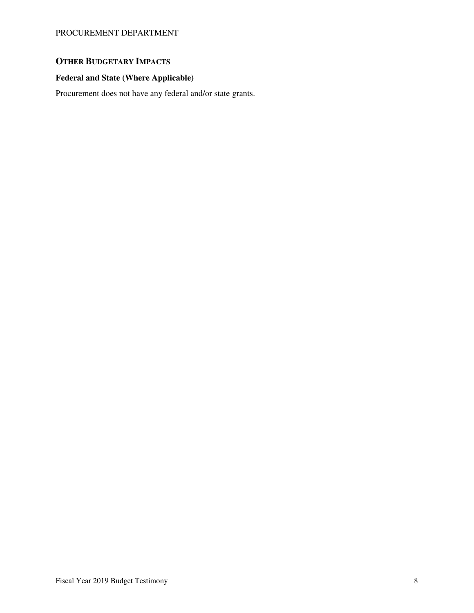# **OTHER BUDGETARY IMPACTS**

# **Federal and State (Where Applicable)**

Procurement does not have any federal and/or state grants.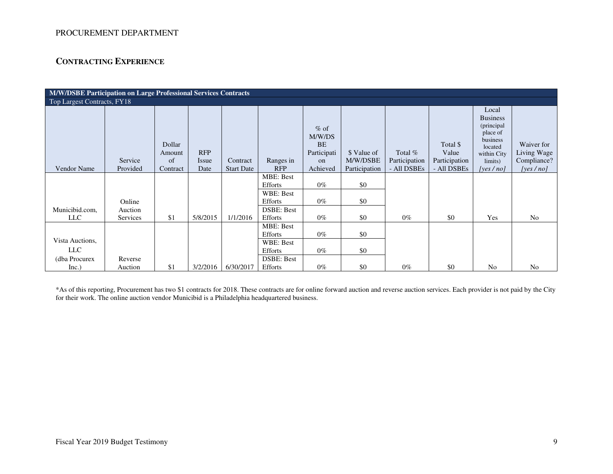# **CONTRACTING EXPERIENCE**

| <b>M/W/DSBE Participation on Large Professional Services Contracts</b> |          |                  |            |                   |                                    |                                              |               |               |                   |                                                                                          |                           |
|------------------------------------------------------------------------|----------|------------------|------------|-------------------|------------------------------------|----------------------------------------------|---------------|---------------|-------------------|------------------------------------------------------------------------------------------|---------------------------|
| Top Largest Contracts, FY18                                            |          |                  |            |                   |                                    |                                              |               |               |                   |                                                                                          |                           |
|                                                                        |          | Dollar<br>Amount | <b>RFP</b> |                   |                                    | $%$ of<br>M/W/DS<br><b>BE</b><br>Participati | \$ Value of   | Total %       | Total \$<br>Value | Local<br><b>Business</b><br>(principal<br>place of<br>business<br>located<br>within City | Waiver for<br>Living Wage |
|                                                                        | Service  | of               | Issue      | Contract          | Ranges in                          | on                                           | M/W/DSBE      | Participation | Participation     | limits)                                                                                  | Compliance?               |
| Vendor Name                                                            | Provided | Contract         | Date       | <b>Start Date</b> | <b>RFP</b>                         | Achieved                                     | Participation | - All DSBEs   | - All DSBEs       | [yes / no]                                                                               | [yes $/no$ ]              |
|                                                                        |          |                  |            |                   | <b>MBE: Best</b><br><b>Efforts</b> | $0\%$                                        | \$0           |               |                   |                                                                                          |                           |
|                                                                        | Online   |                  |            |                   | WBE: Best<br><b>Efforts</b>        | $0\%$                                        | \$0           |               |                   |                                                                                          |                           |
| Municibid.com.                                                         | Auction  |                  |            |                   | <b>DSBE: Best</b>                  |                                              |               |               |                   |                                                                                          |                           |
| <b>LLC</b>                                                             | Services | \$1              | 5/8/2015   | 1/1/2016          | Efforts                            | $0\%$                                        | \$0           | $0\%$         | \$0               | Yes                                                                                      | N <sub>o</sub>            |
|                                                                        |          |                  |            |                   | <b>MBE: Best</b><br><b>Efforts</b> | $0\%$                                        | \$0           |               |                   |                                                                                          |                           |
| Vista Auctions,                                                        |          |                  |            |                   | WBE: Best                          |                                              |               |               |                   |                                                                                          |                           |
| <b>LLC</b>                                                             |          |                  |            |                   | <b>Efforts</b>                     | $0\%$                                        | \$0           |               |                   |                                                                                          |                           |
| (dba Procurex)                                                         | Reverse  |                  |            |                   | <b>DSBE: Best</b>                  |                                              |               |               |                   |                                                                                          |                           |
| Inc.)                                                                  | Auction  | \$1              | 3/2/2016   | 6/30/2017         | Efforts                            | $0\%$                                        | \$0           | $0\%$         | \$0               | N <sub>o</sub>                                                                           | N <sub>o</sub>            |

\*As of this reporting, Procurement has two \$1 contracts for 2018. These contracts are for online forward auction and reverse auction services. Each provider is not paid by the City for their work. The online auction vendor Municibid is a Philadelphia headquartered business.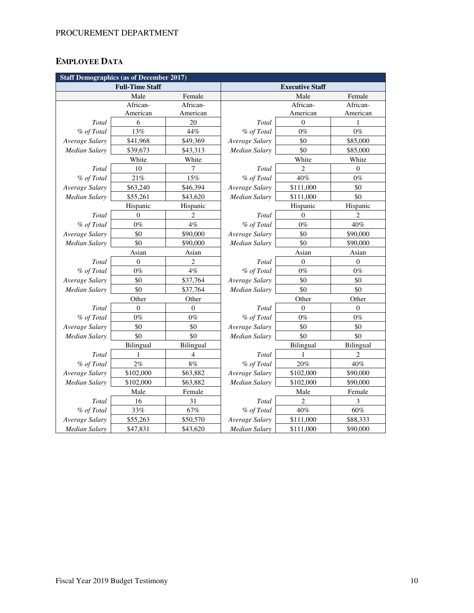# **EMPLOYEE DATA**

| <b>Staff Demographics (as of December 2017)</b> |                        |                    |                        |                |                |  |  |  |  |  |
|-------------------------------------------------|------------------------|--------------------|------------------------|----------------|----------------|--|--|--|--|--|
|                                                 | <b>Full-Time Staff</b> |                    | <b>Executive Staff</b> |                |                |  |  |  |  |  |
|                                                 | Male                   | Female             |                        | Male           | Female         |  |  |  |  |  |
|                                                 | African-               | African-           |                        | African-       | African-       |  |  |  |  |  |
|                                                 | American               | American           |                        | American       | American       |  |  |  |  |  |
| Total                                           | 6                      | 20                 | Total                  | $\theta$       | 1              |  |  |  |  |  |
| % of Total                                      | 13%                    | 44%                | % of Total             | $0\%$          | $0\%$          |  |  |  |  |  |
| Average Salary                                  | \$41,968               | \$49,369           | Average Salary         | \$0            | \$85,000       |  |  |  |  |  |
| <b>Median Salary</b>                            | \$39,673               | \$43,313           | Median Salary          | \$0            | \$85,000       |  |  |  |  |  |
|                                                 | White                  | White              |                        | White          | White          |  |  |  |  |  |
| Total                                           | 10                     | 7                  | Total                  | $\overline{c}$ | $\overline{0}$ |  |  |  |  |  |
| % of Total                                      | 21%                    | 15%                | % of Total             | 40%            | $0\%$          |  |  |  |  |  |
| Average Salary                                  | \$63,240               | \$46,394           | Average Salary         | \$111,000      | \$0            |  |  |  |  |  |
| Median Salary                                   | \$55,261               | \$43,620           | Median Salary          | \$111,000      | \$0            |  |  |  |  |  |
|                                                 | Hispanic               | Hispanic           |                        | Hispanic       | Hispanic       |  |  |  |  |  |
| Total                                           | $\overline{0}$         | $\overline{c}$     | Total                  | $\Omega$       | $\overline{c}$ |  |  |  |  |  |
| % of Total                                      | $0\%$                  | 4%                 | % of Total             | $0\%$          | 40%            |  |  |  |  |  |
| Average Salary                                  | \$0                    | \$90,000           | Average Salary         | \$0            | \$90,000       |  |  |  |  |  |
| <b>Median Salary</b>                            | \$0                    |                    | Median Salary          | \$0            | \$90,000       |  |  |  |  |  |
|                                                 | Asian                  | Asian              |                        | Asian          | Asian          |  |  |  |  |  |
| Total                                           | $\theta$               | 2                  | Total                  | $\mathbf{0}$   | $\mathbf{0}$   |  |  |  |  |  |
| % of Total                                      | $0\%$                  | 4%                 | % of Total             | $0\%$          | $0\%$          |  |  |  |  |  |
| Average Salary                                  | \$0                    | \$37,764           | Average Salary         | \$0            | \$0            |  |  |  |  |  |
| <b>Median Salary</b>                            | \$0                    |                    | <b>Median Salary</b>   | \$0            | \$0            |  |  |  |  |  |
|                                                 | Other                  | Other              | Other<br>Other         |                |                |  |  |  |  |  |
| Total                                           | $\theta$               | $\theta$           | Total                  | $\theta$       | $\mathbf{0}$   |  |  |  |  |  |
| % of Total                                      | $0\%$                  | $0\%$              | % of Total             | $0\%$          | $0\%$          |  |  |  |  |  |
| Average Salary                                  | \$0                    | \$0                | Average Salary         | \$0            | \$0            |  |  |  |  |  |
| Median Salary                                   | \$0                    | \$0                | Median Salary          | \$0            | \$0            |  |  |  |  |  |
|                                                 | Bilingual              | Bilingual          |                        | Bilingual      | Bilingual      |  |  |  |  |  |
| Total                                           | 1                      | 4                  | Total                  | 1              | 2              |  |  |  |  |  |
| % of Total                                      | 2%                     | $8\%$              | % of Total             | 20%            | 40%            |  |  |  |  |  |
| Average Salary                                  | \$102,000              | \$63,882           | Average Salary         | \$102,000      | \$90,000       |  |  |  |  |  |
| <b>Median Salary</b>                            | \$102,000              |                    | Median Salary          | \$102,000      | \$90,000       |  |  |  |  |  |
|                                                 | Male                   | \$63,882<br>Female |                        | Male           | Female         |  |  |  |  |  |
| Total                                           | 16                     | 31                 | Total                  | $\overline{c}$ | 3              |  |  |  |  |  |
| % of Total                                      | 33%                    | 67%                | % of Total             | 40%            | $60\%$         |  |  |  |  |  |
| Average Salary                                  | \$55,263               | \$50,570           | Average Salary         | \$111,000      | \$88,333       |  |  |  |  |  |
| <b>Median Salary</b>                            | \$47,831               | \$43,620           | <b>Median Salary</b>   | \$111,000      | \$90,000       |  |  |  |  |  |